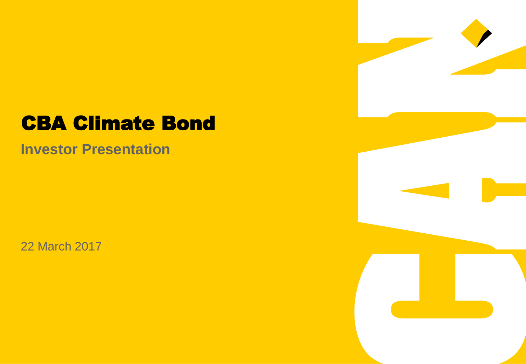## CBA Climate Bond

**Investor Presentation**

22 March 2017

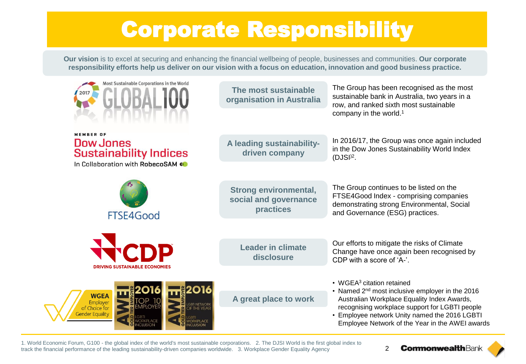# Corporate Responsibility

**Our vision** is to excel at securing and enhancing the financial wellbeing of people, businesses and communities. **Our corporate responsibility efforts help us deliver on our vision with a focus on education, innovation and good business practice.** 

| Most Sustainable Corporations in the World<br>2017<br><b>DALIUD</b>   | The most sustainable<br>organisation in Australia                  | The Group has been recognised as the most<br>sustainable bank in Australia, two years in a<br>row, and ranked sixth most sustainable<br>company in the world. <sup>1</sup> |  |
|-----------------------------------------------------------------------|--------------------------------------------------------------------|----------------------------------------------------------------------------------------------------------------------------------------------------------------------------|--|
| <b>MEMBER OF</b><br><b>Dow Jones</b><br><b>Sustainability Indices</b> | A leading sustainability-<br>driven company                        | In 2016/17, the Group was once again included<br>in the Dow Jones Sustainability World Index                                                                               |  |
| In Collaboration with RobecoSAM (O                                    |                                                                    | $(DJSI)2$ .                                                                                                                                                                |  |
| FTSE4Good                                                             | <b>Strong environmental,</b><br>social and governance<br>practices | The Group continues to be listed on the<br>FTSE4Good Index - comprising companies<br>demonstrating strong Environmental, Social<br>and Governance (ESG) practices.         |  |
|                                                                       |                                                                    |                                                                                                                                                                            |  |
| DP                                                                    | <b>Leader in climate</b><br>disclosure                             | Our efforts to mitigate the risks of Climate<br>Change have once again been recognised by<br>CDP with a score of 'A-'.                                                     |  |
| <b>DRIVING SUSTAINABLE ECONOMIES</b>                                  |                                                                    | • WGEA <sup>3</sup> citation retained                                                                                                                                      |  |
| <b>WGEA</b><br>Employer                                               | A great place to work                                              | • Named 2 <sup>nd</sup> most inclusive employer in the 2016<br>Australian Workplace Equality Index Awards,                                                                 |  |
| of Choice for<br><b>Gender Equality</b>                               |                                                                    | recognising workplace support for LGBTI people<br>• Employee network Unity named the 2016 LGBTI<br>Employee Network of the Year in the AWEI awards                         |  |

1. World Economic Forum, G100 - the global index of the world's most sustainable corporations. 2. The DJSI World is the first global index to track the financial performance of the leading sustainability-driven companies worldwide. 3. Workplace Gender Equality Agency

**CommonwealthBank** 2

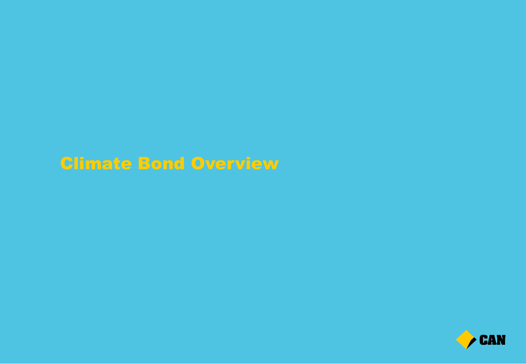### Climate Bond Overview

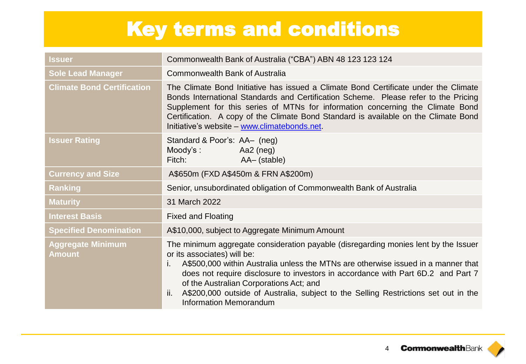# Key terms and conditions

| Issuer                             | Commonwealth Bank of Australia ("CBA") ABN 48 123 123 124                                                                                                                                                                                                                                                                                                                                                                                                                   |
|------------------------------------|-----------------------------------------------------------------------------------------------------------------------------------------------------------------------------------------------------------------------------------------------------------------------------------------------------------------------------------------------------------------------------------------------------------------------------------------------------------------------------|
| <b>Sole Lead Manager</b>           | <b>Commonwealth Bank of Australia</b>                                                                                                                                                                                                                                                                                                                                                                                                                                       |
| <b>Climate Bond Certification</b>  | The Climate Bond Initiative has issued a Climate Bond Certificate under the Climate<br>Bonds International Standards and Certification Scheme. Please refer to the Pricing<br>Supplement for this series of MTNs for information concerning the Climate Bond<br>Certification. A copy of the Climate Bond Standard is available on the Climate Bond<br>Initiative's website - www.climatebonds.net.                                                                         |
| <b>Issuer Rating</b>               | Standard & Poor's: AA- (neg)<br>Aa2 (neg)<br>Moody's :<br>Fitch: <b>Exercise Structure</b><br>AA- (stable)                                                                                                                                                                                                                                                                                                                                                                  |
| <b>Currency and Size</b>           | A\$650m (FXD A\$450m & FRN A\$200m)                                                                                                                                                                                                                                                                                                                                                                                                                                         |
| <b>Ranking</b>                     | Senior, unsubordinated obligation of Commonwealth Bank of Australia                                                                                                                                                                                                                                                                                                                                                                                                         |
| <b>Maturity</b>                    | 31 March 2022                                                                                                                                                                                                                                                                                                                                                                                                                                                               |
| <b>Interest Basis</b>              | <b>Fixed and Floating</b>                                                                                                                                                                                                                                                                                                                                                                                                                                                   |
| <b>Specified Denomination</b>      | A\$10,000, subject to Aggregate Minimum Amount                                                                                                                                                                                                                                                                                                                                                                                                                              |
| <b>Aggregate Minimum</b><br>Amount | The minimum aggregate consideration payable (disregarding monies lent by the Issuer<br>or its associates) will be:<br>A\$500,000 within Australia unless the MTNs are otherwise issued in a manner that<br>i.<br>does not require disclosure to investors in accordance with Part 6D.2 and Part 7<br>of the Australian Corporations Act; and<br>A\$200,000 outside of Australia, subject to the Selling Restrictions set out in the<br>ii.<br><b>Information Memorandum</b> |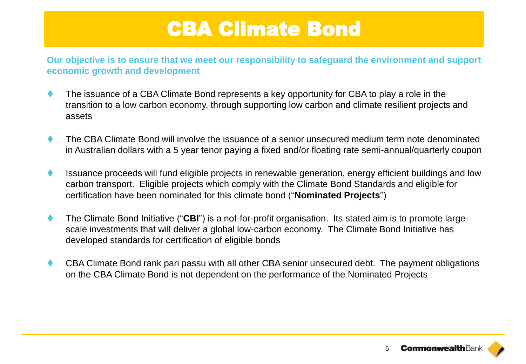## CBA Climate Bond

**Our objective is to ensure that we meet our responsibility to safeguard the environment and support economic growth and development**

- The issuance of a CBA Climate Bond represents a key opportunity for CBA to play a role in the transition to a low carbon economy, through supporting low carbon and climate resilient projects and assets
- The CBA Climate Bond will involve the issuance of a senior unsecured medium term note denominated in Australian dollars with a 5 year tenor paying a fixed and/or floating rate semi-annual/quarterly coupon
- Issuance proceeds will fund eligible projects in renewable generation, energy efficient buildings and low carbon transport. Eligible projects which comply with the Climate Bond Standards and eligible for certification have been nominated for this climate bond ("**Nominated Projects**")
- The Climate Bond Initiative ("**CBI**") is a not-for-profit organisation. Its stated aim is to promote largescale investments that will deliver a global low-carbon economy. The Climate Bond Initiative has developed standards for certification of eligible bonds
- CBA Climate Bond rank pari passu with all other CBA senior unsecured debt. The payment obligations on the CBA Climate Bond is not dependent on the performance of the Nominated Projects

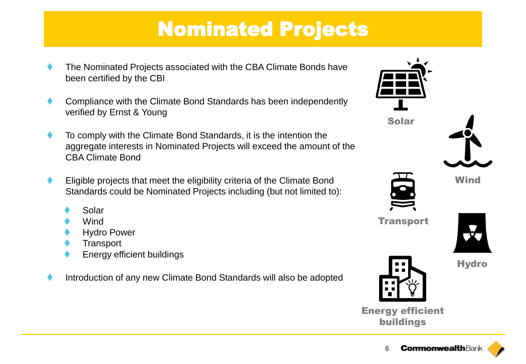# Nominated Projects

- The Nominated Projects associated with the CBA Climate Bonds have been certified by the CBI
- Compliance with the Climate Bond Standards has been independently verified by Ernst & Young
- To comply with the Climate Bond Standards, it is the intention the aggregate interests in Nominated Projects will exceed the amount of the CBA Climate Bond
- Eligible projects that meet the eligibility criteria of the Climate Bond Standards could be Nominated Projects including (but not limited to):
	- Solar
	- Wind
	- Hydro Power
	- **Transport**
	- Energy efficient buildings
- Introduction of any new Climate Bond Standards will also be adopted



Energy efficient buildings

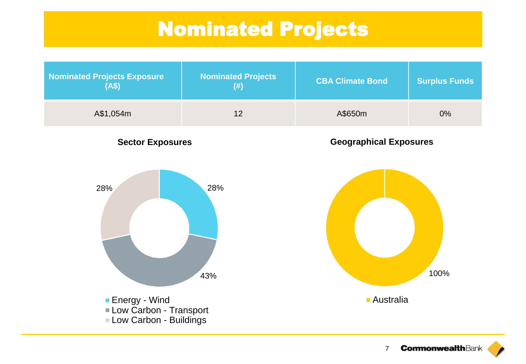## Nominated Projects

| <b>Nominated Projects Exposure</b><br>(AS) | <b>Nominated Projects</b><br>(#) | <b>CBA Climate Bond</b> | <b>Surplus Funds</b> |
|--------------------------------------------|----------------------------------|-------------------------|----------------------|
| A\$1,054m                                  | 12                               | A\$650m                 | $0\%$                |

**Sector Exposures**

**Geographical Exposures**



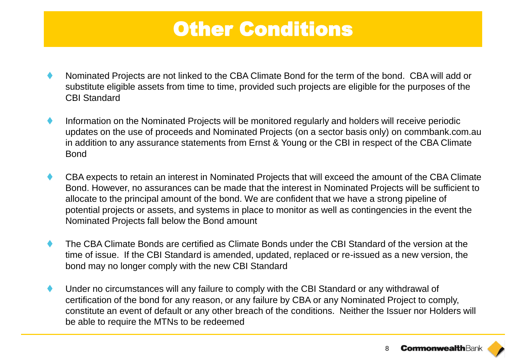### Other Conditions

- Nominated Projects are not linked to the CBA Climate Bond for the term of the bond. CBA will add or substitute eligible assets from time to time, provided such projects are eligible for the purposes of the CBI Standard
- Information on the Nominated Projects will be monitored regularly and holders will receive periodic updates on the use of proceeds and Nominated Projects (on a sector basis only) on commbank.com.au in addition to any assurance statements from Ernst & Young or the CBI in respect of the CBA Climate Bond
- CBA expects to retain an interest in Nominated Projects that will exceed the amount of the CBA Climate Bond. However, no assurances can be made that the interest in Nominated Projects will be sufficient to allocate to the principal amount of the bond. We are confident that we have a strong pipeline of potential projects or assets, and systems in place to monitor as well as contingencies in the event the Nominated Projects fall below the Bond amount
- The CBA Climate Bonds are certified as Climate Bonds under the CBI Standard of the version at the time of issue. If the CBI Standard is amended, updated, replaced or re-issued as a new version, the bond may no longer comply with the new CBI Standard
- Under no circumstances will any failure to comply with the CBI Standard or any withdrawal of certification of the bond for any reason, or any failure by CBA or any Nominated Project to comply, constitute an event of default or any other breach of the conditions. Neither the Issuer nor Holders will be able to require the MTNs to be redeemed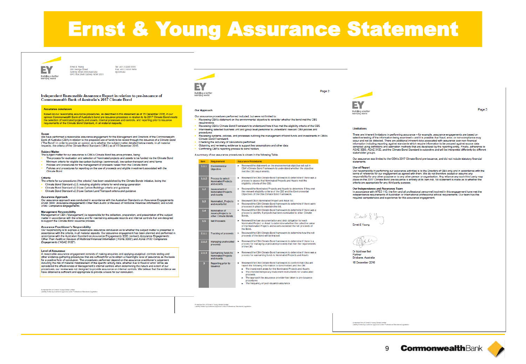### **Ernst & Young Assurance Statement**



Ernst & Young<br>200 George Street

Tel: +61 2 9248 5555 Fax: +61 2 9248 5959 Sydney NSW 2000 Australia ey.com/au GPO Box 2646 Sydney NSW 2001

Independent Reasonable Assurance Report in relation to pre-issuance of Commonwealth Bank of Australia's 2017 Climate Bond

### **Assurance conclusion**

Based on our reasonable assurance procedures, as described in this statement as of 15 December 2016, in our opinion Commonwealth Bank of Australia's bond pre-issuance processes in relation to its 2017 Climate Bond meets<br>the selection of nominated projects and assets, internal processes and controls, and reporting prior to issuan requirements of the Climate Bond Standard, in all material respects.

### Scope

We have performed a reasonable assurance engagement for the Management and Directors of the Commonw Bank of Australia (CBA) in relation to the proposed use of funds to be raised through the issuance of a Climate Bond (The Bond') in order to provide an opinion as to whether the subject matter detailed below meets, in all material respects, the criteria of the Climate Bond Standard ('CBS') as of 15 December 2016.

### **Subject Matter**

- The subject matter for our assurance is CRA's Climate Road Issuance process, being:
- The process for evaluation and selection of Nominated projects and assets to be funded via the Climate Bond. Minimum criteria for eligible low carbon buildings (commercial), low carbon transport and wind farms
- Policies and procedures for the management of proceeds raised from the Climate Bond
- Policies and procedures for reporting on the use of proceeds and eligible investment associated with the Climate Bond

### Criteria

- The criteria for our procedures ('the criteria') has been established by the Climate Bonds Initiative, being the: Climate Bond Standard v2.0, including eligibility criteria for wind energy generation
- Climate Bond Standard v2.0 Low Carbon Buildings criteria and guidance
- Climate Bond Standard v2.0 Low Carbon Land Transport criteria and guidance

### **Assurance Annroach**

Our assurance approach was conducted in accordance with the Australian Standards on Assurance Engagements ASAE 3000: Assurance Engagements Other than Audits or Reviews of Historical Financial Information; and ASAE<br>3100: Compliance Engagements.

### **Management Responsibility**

Management of CBA ('Management') is responsible for the collection, preparation, and presentation of the subject matter in accordance with the criteria and for maintaining adequate records and internal controls that are designed to support the Climate Bond issuance process.

### **Assurance Practitioner's Responsibility**

Our responsibility is to express a reasonable assurance conclusion as to whether the subject matter is presented in accordance with the criteria, in all material aspects. Our assurance engagement has been planned and performed in<br>accordance with the Australian Standard on Assurance Engagements 3000 (revised) Assurance Engagements<br>Other Engagements ("ASAE 3100").

### **Level of Assurance**

A reasonable assurance engagement consists of making enguiries and applying analytical, controls testing and other evidence-gathering procedures that are sufficient for us to obtain a meaningful level of assurance as the basis<br>for a positive form of conclusion. The procedures performed depend on the assurance practitioner's judge inducting the risk of material misstatement of the specific activity data, whether due to fraud or error. While we<br>considered the effectiveness of Management's internal controls when determining the nature and extent of ou procedures, our review was not designed to provide assurance on internal controls. We believe that the evidence we<br>have obtained is sufficient and appropriate to provide a basis for our conclusion.



### **Our Approach**

- Our assurance procedures performed included, but were not limited to:
- Reviewing CBA's statement on the environmental objective to consider whether the bond met the CBS
- requirements Reviewing CBA's Climate Bond Framework to understand how it has met the eligibility criteria of the CBS
- Interviewing selected business unit and group level personnel to understand relevant CBA policies and procedures
- Reviewing systems, policies, and processes outlining the management of bond funds and investments in CBA's **Climate Bond Framework**
- Checking the accuracy of calculations performed
- Obtaining and reviewing evidence to support key assumptions and other data
- Confirming CBA's reporting process to bond holders

A summary of our assurance procedures is shown in the following Table.

### **Item Requirement Assurance Procedures**

| 1.1.1 | Environmental<br><b>Objective</b>                                   | Reviewed the statement on the environmental objective set out in<br>CBA's Climate Bond Framework to understand whether the objective<br>met the CBS requirements.                                                                                                                                                                                             |
|-------|---------------------------------------------------------------------|---------------------------------------------------------------------------------------------------------------------------------------------------------------------------------------------------------------------------------------------------------------------------------------------------------------------------------------------------------------|
| 1.1.2 | <b>Process to select</b><br><b>Nominated Projects</b><br>and Assets | Reviewed the CBA Climate Bond framework to determine if there was a<br>٠<br>process to assess that Nominated Projects and Assets met the<br>eligibility criteria of the CBS.                                                                                                                                                                                  |
| 1.2   | <b>Assessment of</b><br><b>Nominated Projects</b><br>and Assets     | Reviewed the Nominated Projects and Assets to determine if they met<br>ь<br>the relevant eligibility criteria of the CBS and the Environmental<br>Objectives of the CBA Climate Bond Framework.                                                                                                                                                               |
| 13    | <b>Nominated Projects</b><br>and Assets list                        | Reviewed CBA's Nominated Project and Asset list.<br>٠<br>Reviewed the CBA Climate Bond framework to determine if there were<br>ь<br>processes in place to maintain the list.                                                                                                                                                                                  |
| 1.4   | Nomination of<br><b>Assets/Projects to</b><br>other Climate Bonds   | Reviewed the CBA Climate Bond framework to determine if there was a<br>н<br>process to identify if projects had been nominated to other Climate<br>Bonds.                                                                                                                                                                                                     |
| 1.5   | <b>Net Proceeds</b>                                                 | Reviewed the loan documentation and debt obligation for each<br>۰<br>Nominated Project or Asset to determine whether the collective value<br>of the Nominated Projects and Assets exceeded the net proceeds of<br>the Bond.                                                                                                                                   |
| 2.1.1 | <b>Tracking of proceeds</b>                                         | Reviewed the CBA Climate Bond framework to determine how the net<br>۰<br>proceeds of the bond will be tracked                                                                                                                                                                                                                                                 |
| 2.1.2 | <b>Managing unallocated</b><br>proceeds                             | Reviewed the CRA Climate Bond framework to determine if there is a<br>ь<br>process for managing unallocated proceeds that met the requirements<br>of the CBS                                                                                                                                                                                                  |
| 2.1.3 | Earmarking funds to<br><b>Nominated Projects</b><br>and Assets      | Reviewed the CBA Climate Bond framework to determine if there was a<br>۰<br>process for earmarking funds to Nominated Projects and Assets                                                                                                                                                                                                                     |
| 3     | Reporting prior to<br><b>issuance</b>                               | Reviewed the CBA Climate Bond framework to confirm that CBA will<br>report the following information to bond holders and the CBI:<br>The investment areas for the Nominated Projects and Assets<br>The intended temporary investment instruments for unallocated<br>proceeds<br>The approach the assurance provider has taken to pre-issuance<br>nene arturne |

The frequency of post-issuance assurance

mber firm of Ernet & Young Global Limited<br>ty limited by a scheme approved under Professional Standards Legislation

A member firm of Erret & Young Global Limited<br>
Professional Dandards Legislation

EY Building a bette<br>worklog world

Page 2

Page 3

### **Limitations**

There are inherent limitations in performing assurance - for example, assurance engagements are based on selective testing of the information being examined - and it is possible that fraud, error, or non-compliance may cocur and not be detected. There are additional inherent risks associated with assurance over non-financial<br>information including reporting against standards which require information to be assured against source data compiled using definitions and estimation methods that are developed by the reporting entity. Finally, adherence to<br>ASAE 3000, ASAE 3100, and the Climate Bond Standard is subjective and will be interpreted differently by d stakeholder groups

Our assurance was limited to the CBA's 2017 Climate Bond pre-issuance, and did not include statutory financial statements

### **Use of Report**

Our responsibility in performing our assurance activities is to the Directors of CBA only and in accordance with the terms of reference for our engagement as agreed with them. We do not therefore accept or assume any responsibility for any other purpose or to any other person or organisation. Any reliance any such third party may place on the 2017 Climate Bond pre-issuance is entirely at its own risk. No statement is made as to whether th criteria are annongiate for any third party number

### Our Independence and Assurance Team

In accordance with APES 110, the firm and all professional personnel involved in this engagement have met the independence requirements of Australian or International professional ethical requirements. Our team has the required competencies and experience for this assurance engagement.







Dr Matthew Bell Partner . arasci<br>Brisbane, Australia 15 December 2016



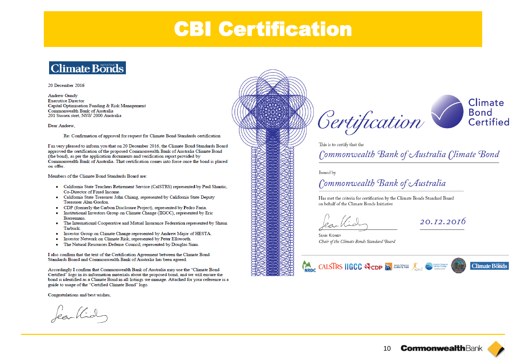### **CBI Certification**



### 20 December 2016

**Andrew Gundy Executive Director** Capital Optimisation Funding & Risk Management Commonwealth Bank of Australia 201 Sussex stret, NSW 2000 Australia

Dear Andrew.

Re: Confirmation of approval for request for Climate Bond Standards certification

I'm very pleased to inform you that on 20 December 2016, the Climate Bond Standards Board approved the certification of the proposed Commonwealth Bank of Australia Climate Bond (the bond), as per the application documents and verification report provided by Commonwealth Bank of Australia. That certification comes into force once the bond is placed on offer.

Members of the Climate Bond Standards Board are:

- · California State Teachers Retirement Service (CaISTRS) represented by Paul Shantic, Co-Director of Fixed Income
- · California State Treasurer John Chiang, represented by California State Deputy Treasurer Alan Gordon.
- CDP (formerly the Carbon Disclosure Project), represented by Pedro Faria.
- · Institutional Investors Group on Climate Change (IIGCC), represented by Eric Borremans.
- The International Cooperative and Mutual Insurance Federation represented by Shaun **Tarbuck**
- Investor Group on Climate Change represented by Andrew Major of HESTA. ٠
- ۰ Investor Network on Climate Risk, represented by Peter Ellsworth.
- The Natural Resources Defense Council, represented by Douglas Sims. ٠

I also confirm that the text of the Certification Agreement between the Climate Bond Standards Board and Commonwealth Bank of Australia has been agreed.

Accordingly I confirm that Commonwealth Bank of Australia may use the "Climate Bond Certified" logo in its information materials about the proposed bond, and we will ensure the bond is identified as a Climate Bond in all listings we manage. Attached for your reference is a guide to usage of the "Certified Climate Bond" logo.

Congratulations and best wishes,

féarthid







This is to certify that the

Commonwealth Bank of Australia Climate Bond

Issued by

### Commonwealth Bank of Australia

Has met the criteria for certification by the Climate Bonds Standard Board on behalf of the Climate Bonds Initiative

20.12.2016

**SEAN KIDNEY** Chair of the Climate Bonds Standard Board

### **ON CALSIRS HGCC WODD A CUNTER AND COMMERCE OF DESCRIPTION Climate Bonds**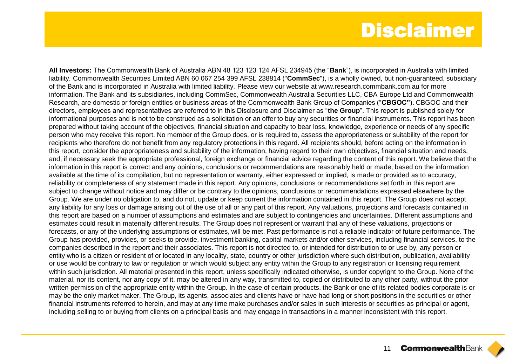### Disclaimer

**All Investors:** The Commonwealth Bank of Australia ABN 48 123 123 124 AFSL 234945 (the "**Bank**"), is incorporated in Australia with limited liability. Commonwealth Securities Limited ABN 60 067 254 399 AFSL 238814 ("**CommSec**"), is a wholly owned, but non-guaranteed, subsidiary of the Bank and is incorporated in Australia with limited liability. Please view our website at www.research.commbank.com.au for more information. The Bank and its subsidiaries, including CommSec, Commonwealth Australia Securities LLC, CBA Europe Ltd and Commonwealth Research, are domestic or foreign entities or business areas of the Commonwealth Bank Group of Companies ("**CBGOC"**). CBGOC and their directors, employees and representatives are referred to in this Disclosure and Disclaimer as "**the Group**". This report is published solely for informational purposes and is not to be construed as a solicitation or an offer to buy any securities or financial instruments. This report has been prepared without taking account of the objectives, financial situation and capacity to bear loss, knowledge, experience or needs of any specific person who may receive this report. No member of the Group does, or is required to, assess the appropriateness or suitability of the report for recipients who therefore do not benefit from any regulatory protections in this regard. All recipients should, before acting on the information in this report, consider the appropriateness and suitability of the information, having regard to their own objectives, financial situation and needs, and, if necessary seek the appropriate professional, foreign exchange or financial advice regarding the content of this report. We believe that the information in this report is correct and any opinions, conclusions or recommendations are reasonably held or made, based on the information available at the time of its compilation, but no representation or warranty, either expressed or implied, is made or provided as to accuracy, reliability or completeness of any statement made in this report. Any opinions, conclusions or recommendations set forth in this report are subject to change without notice and may differ or be contrary to the opinions, conclusions or recommendations expressed elsewhere by the Group. We are under no obligation to, and do not, update or keep current the information contained in this report. The Group does not accept any liability for any loss or damage arising out of the use of all or any part of this report. Any valuations, projections and forecasts contained in this report are based on a number of assumptions and estimates and are subject to contingencies and uncertainties. Different assumptions and estimates could result in materially different results. The Group does not represent or warrant that any of these valuations, projections or forecasts, or any of the underlying assumptions or estimates, will be met. Past performance is not a reliable indicator of future performance. The Group has provided, provides, or seeks to provide, investment banking, capital markets and/or other services, including financial services, to the companies described in the report and their associates. This report is not directed to, or intended for distribution to or use by, any person or entity who is a citizen or resident of or located in any locality, state, country or other jurisdiction where such distribution, publication, availability or use would be contrary to law or regulation or which would subject any entity within the Group to any registration or licensing requirement within such jurisdiction. All material presented in this report, unless specifically indicated otherwise, is under copyright to the Group. None of the material, nor its content, nor any copy of it, may be altered in any way, transmitted to, copied or distributed to any other party, without the prior written permission of the appropriate entity within the Group. In the case of certain products, the Bank or one of its related bodies corporate is or may be the only market maker. The Group, its agents, associates and clients have or have had long or short positions in the securities or other financial instruments referred to herein, and may at any time make purchases and/or sales in such interests or securities as principal or agent, including selling to or buying from clients on a principal basis and may engage in transactions in a manner inconsistent with this report.